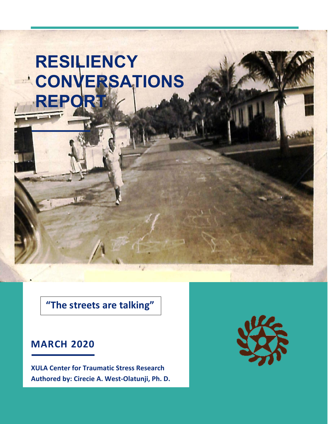# **RESILIENCY CONVERSATIONS REPORT**

**"The streets are talking"**

# **MARCH 2020**

**XULA Center for Traumatic Stress Research Authored by: Cirecie A. West-Olatunji, Ph. D.**

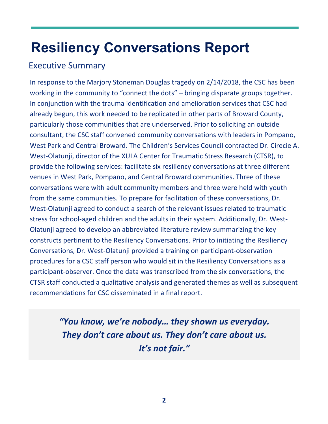# **Resiliency Conversations Report**

# Executive Summary

In response to the Marjory Stoneman Douglas tragedy on 2/14/2018, the CSC has been working in the community to "connect the dots" – bringing disparate groups together. In conjunction with the trauma identification and amelioration services that CSC had already begun, this work needed to be replicated in other parts of Broward County, particularly those communities that are underserved. Prior to soliciting an outside consultant, the CSC staff convened community conversations with leaders in Pompano, West Park and Central Broward. The Children's Services Council contracted Dr. Cirecie A. West-Olatunji, director of the XULA Center for Traumatic Stress Research (CTSR), to provide the following services: facilitate six resiliency conversations at three different venues in West Park, Pompano, and Central Broward communities. Three of these conversations were with adult community members and three were held with youth from the same communities. To prepare for facilitation of these conversations, Dr. West-Olatunji agreed to conduct a search of the relevant issues related to traumatic stress for school-aged children and the adults in their system. Additionally, Dr. West-Olatunji agreed to develop an abbreviated literature review summarizing the key constructs pertinent to the Resiliency Conversations. Prior to initiating the Resiliency Conversations, Dr. West-Olatunji provided a training on participant-observation procedures for a CSC staff person who would sit in the Resiliency Conversations as a participant-observer. Once the data was transcribed from the six conversations, the CTSR staff conducted a qualitative analysis and generated themes as well as subsequent recommendations for CSC disseminated in a final report.

> *"You know, we're nobody… they shown us everyday. They don't care about us. They don't care about us. It's not fair."*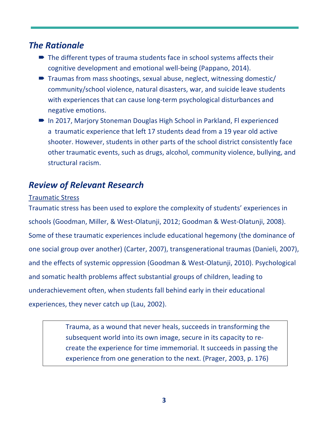# *The Rationale*

- $\blacksquare$  The different types of trauma students face in school systems affects their cognitive development and emotional well-being (Pappano, 2014).
- $\blacksquare$  Traumas from mass shootings, sexual abuse, neglect, witnessing domestic/ community/school violence, natural disasters, war, and suicide leave students with experiences that can cause long-term psychological disturbances and negative emotions.
- In 2017, Marjory Stoneman Douglas High School in Parkland, Fl experienced a traumatic experience that left 17 students dead from a 19 year old active shooter. However, students in other parts of the school district consistently face other traumatic events, such as drugs, alcohol, community violence, bullying, and structural racism.

# *Review of Relevant Research*

#### Traumatic Stress

Traumatic stress has been used to explore the complexity of students' experiences in schools (Goodman, Miller, & West-Olatunji, 2012; Goodman & West-Olatunji, 2008). Some of these traumatic experiences include educational hegemony (the dominance of one social group over another) (Carter, 2007), transgenerational traumas (Danieli, 2007), and the effects of systemic oppression (Goodman & West-Olatunji, 2010). Psychological and somatic health problems affect substantial groups of children, leading to underachievement often, when students fall behind early in their educational experiences, they never catch up (Lau, 2002).

> Trauma, as a wound that never heals, succeeds in transforming the subsequent world into its own image, secure in its capacity to recreate the experience for time immemorial. It succeeds in passing the experience from one generation to the next. (Prager, 2003, p. 176)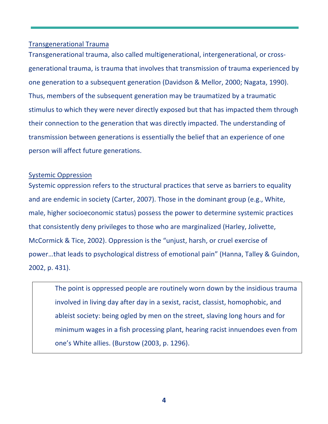#### Transgenerational Trauma

Transgenerational trauma, also called multigenerational, intergenerational, or crossgenerational trauma, is trauma that involves that transmission of trauma experienced by one generation to a subsequent generation (Davidson & Mellor, 2000; Nagata, 1990). Thus, members of the subsequent generation may be traumatized by a traumatic stimulus to which they were never directly exposed but that has impacted them through their connection to the generation that was directly impacted. The understanding of transmission between generations is essentially the belief that an experience of one person will affect future generations.

#### Systemic Oppression

Systemic oppression refers to the structural practices that serve as barriers to equality and are endemic in society (Carter, 2007). Those in the dominant group (e.g., White, male, higher socioeconomic status) possess the power to determine systemic practices that consistently deny privileges to those who are marginalized (Harley, Jolivette, McCormick & Tice, 2002). Oppression is the "unjust, harsh, or cruel exercise of power…that leads to psychological distress of emotional pain" (Hanna, Talley & Guindon, 2002, p. 431).

The point is oppressed people are routinely worn down by the insidious trauma involved in living day after day in a sexist, racist, classist, homophobic, and ableist society: being ogled by men on the street, slaving long hours and for minimum wages in a fish processing plant, hearing racist innuendoes even from one's White allies. (Burstow (2003, p. 1296).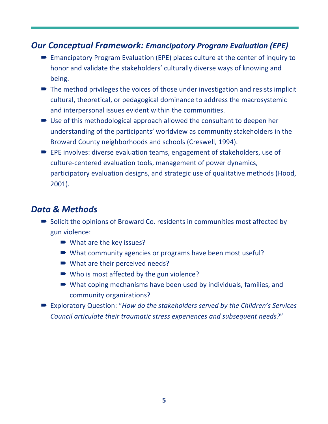# *Our Conceptual Framework: Emancipatory Program Evaluation (EPE)*

- Emancipatory Program Evaluation (EPE) places culture at the center of inquiry to honor and validate the stakeholders' culturally diverse ways of knowing and being.
- $\blacksquare$  The method privileges the voices of those under investigation and resists implicit cultural, theoretical, or pedagogical dominance to address the macrosystemic and interpersonal issues evident within the communities.
- $\triangleright$  Use of this methodological approach allowed the consultant to deepen her understanding of the participants' worldview as community stakeholders in the Broward County neighborhoods and schools (Creswell, 1994).
- $\blacktriangleright$  EPE involves: diverse evaluation teams, engagement of stakeholders, use of culture-centered evaluation tools, management of power dynamics, participatory evaluation designs, and strategic use of qualitative methods (Hood, 2001).

# *Data & Methods*

- $\triangleright$  Solicit the opinions of Broward Co. residents in communities most affected by gun violence:
	- $\blacksquare$  What are the key issues?
	- What community agencies or programs have been most useful?
	- $\blacktriangleright$  What are their perceived needs?
	- $\blacktriangleright$  Who is most affected by the gun violence?
	- $\blacktriangleright$  What coping mechanisms have been used by individuals, families, and community organizations?
- Exploratory Question: "*How do the stakeholders served by the Children's Services Council articulate their traumatic stress experiences and subsequent needs?*"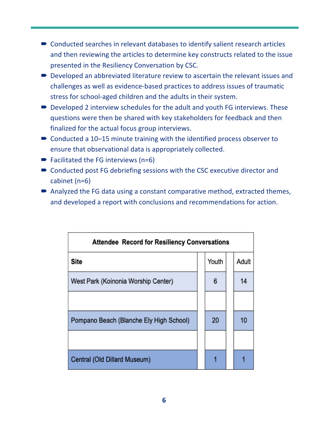- $\blacksquare$  Conducted searches in relevant databases to identify salient research articles and then reviewing the articles to determine key constructs related to the issue presented in the Resiliency Conversation by CSC.
- $\blacktriangleright$  Developed an abbreviated literature review to ascertain the relevant issues and challenges as well as evidence-based practices to address issues of traumatic stress for school-aged children and the adults in their system.
- $\blacksquare$  Developed 2 interview schedules for the adult and youth FG interviews. These questions were then be shared with key stakeholders for feedback and then finalized for the actual focus group interviews.
- $\blacktriangleright$  Conducted a 10–15 minute training with the identified process observer to ensure that observational data is appropriately collected.
- $\blacktriangleright$  Facilitated the FG interviews (n=6)
- $\blacksquare$  Conducted post FG debriefing sessions with the CSC executive director and cabinet (n=6)
- $\blacktriangleright$  Analyzed the FG data using a constant comparative method, extracted themes, and developed a report with conclusions and recommendations for action.

| <b>Attendee Record for Resiliency Conversations</b> |  |       |  |       |
|-----------------------------------------------------|--|-------|--|-------|
| Site                                                |  | Youth |  | Adult |
| West Park (Koinonia Worship Center)                 |  | 6     |  | 14    |
|                                                     |  |       |  |       |
| Pompano Beach (Blanche Ely High School)             |  | 20    |  | 10    |
|                                                     |  |       |  |       |
| Central (Old Dillard Museum)                        |  |       |  |       |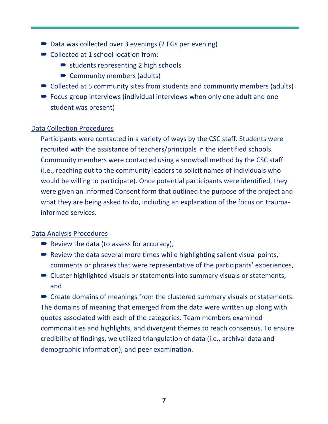- Data was collected over 3 evenings (2 FGs per evening)
- Collected at 1 school location from:
	- $\rightarrow$  students representing 2 high schools
	- Community members (adults)
- $\triangleright$  Collected at 5 community sites from students and community members (adults)
- $\blacktriangleright$  Focus group interviews (individual interviews when only one adult and one student was present)

### Data Collection Procedures

Participants were contacted in a variety of ways by the CSC staff. Students were recruited with the assistance of teachers/principals in the identified schools. Community members were contacted using a snowball method by the CSC staff (i.e., reaching out to the community leaders to solicit names of individuals who would be willing to participate). Once potential participants were identified, they were given an Informed Consent form that outlined the purpose of the project and what they are being asked to do, including an explanation of the focus on traumainformed services.

### Data Analysis Procedures

- $\blacktriangleright$  Review the data (to assess for accuracy),
- $\blacktriangleright$  Review the data several more times while highlighting salient visual points, comments or phrases that were representative of the participants' experiences,
- $\blacksquare$  Cluster highlighted visuals or statements into summary visuals or statements, and

 $\blacktriangleright$  Create domains of meanings from the clustered summary visuals or statements. The domains of meaning that emerged from the data were written up along with quotes associated with each of the categories. Team members examined commonalities and highlights, and divergent themes to reach consensus. To ensure credibility of findings, we utilized triangulation of data (i.e., archival data and demographic information), and peer examination.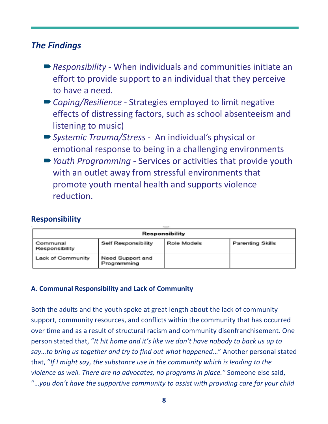# *The Findings*

- *Responsibility* When individuals and communities initiate an effort to provide support to an individual that they perceive to have a need*.*
- *Coping/Resilience* Strategies employed to limit negative effects of distressing factors, such as school absenteeism and listening to music)
- *Systemic Trauma/Stress* An individual's physical or emotional response to being in a challenging environments
- **■** *Youth Programming* Services or activities that provide youth with an outlet away from stressful environments that promote youth mental health and supports violence reduction.

# **Responsibility**

| Responsibility             |                                 |             |                  |
|----------------------------|---------------------------------|-------------|------------------|
| Communal<br>Responsibility | Self Responsibility             | Role Models | Parenting Skills |
| Lack of Community          | Need Support and<br>Programming |             |                  |

### **A. Communal Responsibility and Lack of Community**

Both the adults and the youth spoke at great length about the lack of community support, community resources, and conflicts within the community that has occurred over time and as a result of structural racism and community disenfranchisement. One person stated that, "*It hit home and it's like we don't have nobody to back us up to say…to bring us together and try to find out what happened*…" Another personal stated that, "*If I might say, the substance use in the community which is leading to the violence as well. There are no advocates, no programs in place."* Someone else said, "…*you don't have the supportive community to assist with providing care for your child*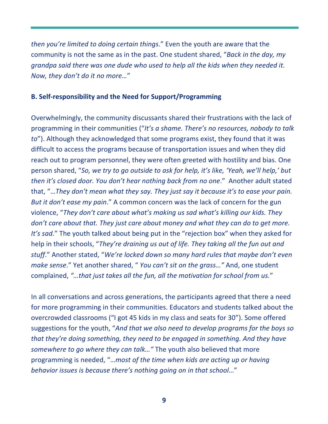*then you're limited to doing certain things*." Even the youth are aware that the community is not the same as in the past. One student shared, "*Back in the day, my grandpa said there was one dude who used to help all the kids when they needed it. Now, they don't do it no more…*"

#### **B. Self-responsibility and the Need for Support/Programming**

Overwhelmingly, the community discussants shared their frustrations with the lack of programming in their communities ("*It's a shame. There's no resources, nobody to talk to*"). Although they acknowledged that some programs exist, they found that it was difficult to access the programs because of transportation issues and when they did reach out to program personnel, they were often greeted with hostility and bias. One person shared, "*So, we try to go outside to ask for help, it's like, 'Yeah, we'll help,' but then it's closed door. You don't hear nothing back from no one*." Another adult stated that, "…*They don't mean what they say. They just say it because it's to ease your pain. But it don't ease my pain*." A common concern was the lack of concern for the gun violence, "*They don't care about what's making us sad what's killing our kids. They don't care about that. They just care about money and what they can do to get more. It's sad.*" The youth talked about being put in the "rejection box" when they asked for help in their schools, "*They're draining us out of life. They taking all the fun out and stuff*." Another stated, "*We're locked down so many hard rules that maybe don't even make sense*." Yet another shared, " *You can't sit on the grass…"* And, one student complained, *"…that just takes all the fun, all the motivation for school from us.*"

In all conversations and across generations, the participants agreed that there a need for more programming in their communities. Educators and students talked about the overcrowded classrooms ("I got 45 kids in my class and seats for 30"). Some offered suggestions for the youth, "*And that we also need to develop programs for the boys so that they're doing something, they need to be engaged in something. And they have somewhere to go where they can talk…"* The youth also believed that more programming is needed, "…*most of the time when kids are acting up or having behavior issues is because there's nothing going on in that school*…"

**9**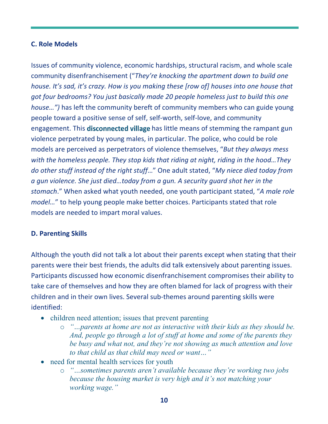### **C. Role Models**

Issues of community violence, economic hardships, structural racism, and whole scale community disenfranchisement ("*They're knocking the apartment down to build one house. It's sad, it's crazy. How is you making these [row of] houses into one house that got four bedrooms? You just basically made 20 people homeless just to build this one house…")* has left the community bereft of community members who can guide young people toward a positive sense of self, self-worth, self-love, and community engagement. This disconnected village has little means of stemming the rampant gun violence perpetrated by young males, in particular. The police, who could be role models are perceived as perpetrators of violence themselves, "*But they always mess with the homeless people. They stop kids that riding at night, riding in the hood…They do other stuff instead of the right stuff*…" One adult stated, "*My niece died today from a gun violence. She just died…today from a gun. A security guard shot her in the stomach*." When asked what youth needed, one youth participant stated, "*A male role model…*" to help young people make better choices. Participants stated that role models are needed to impart moral values.

### **D. Parenting Skills**

Although the youth did not talk a lot about their parents except when stating that their parents were their best friends, the adults did talk extensively about parenting issues. Participants discussed how economic disenfranchisement compromises their ability to take care of themselves and how they are often blamed for lack of progress with their children and in their own lives. Several sub-themes around parenting skills were identified:

- children need attention; issues that prevent parenting
	- o *"…parents at home are not as interactive with their kids as they should be. And, people go through a lot of stuff at home and some of the parents they be busy and what not, and they're not showing as much attention and love to that child as that child may need or want…"*
- need for mental health services for youth
	- o *"…sometimes parents aren't available because they're working two jobs because the housing market is very high and it's not matching your working wage."*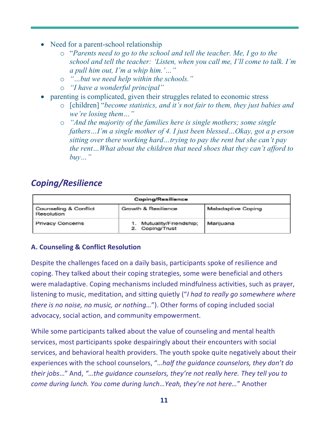- Need for a parent-school relationship
	- o "*Parents need to go to the school and tell the teacher. Me, I go to the school and tell the teacher: 'Listen, when you call me, I'll come to talk. I'm a pull him out, I'm a whip him.'…"*
	- o *"…but we need help within the schools."*
	- o *"I have a wonderful principal"*
- parenting is complicated, given their struggles related to economic stress
	- o [children] "*become statistics, and it's not fair to them, they just babies and we're losing them…"*
	- o *"And the majority of the families here is single mothers; some single fathers…I'm a single mother of 4. I just been blessed…Okay, got a p erson sitting over there working hard…trying to pay the rent but she can't pay the rent…What about the children that need shoes that they can't afford to buy…"*

# *Coping/Resilience*

| Coping/Resilience                   |                                          |                           |  |
|-------------------------------------|------------------------------------------|---------------------------|--|
| Counseling & Conflict<br>Resolution | Growth & Resilience                      | <b>Maladaptive Coping</b> |  |
| Privacy Concerns                    | Mutuality/Friendship;<br>2. Coping/Trust | Marijuana                 |  |

## **A. Counseling & Conflict Resolution**

Despite the challenges faced on a daily basis, participants spoke of resilience and coping. They talked about their coping strategies, some were beneficial and others were maladaptive. Coping mechanisms included mindfulness activities, such as prayer, listening to music, meditation, and sitting quietly ("*I had to really go somewhere where there is no noise, no music, or nothing…*"). Other forms of coping included social advocacy, social action, and community empowerment.

While some participants talked about the value of counseling and mental health services, most participants spoke despairingly about their encounters with social services, and behavioral health providers. The youth spoke quite negatively about their experiences with the school counselors, "*…half the guidance counselors, they don't do their jobs*…" And, *"…the guidance counselors, they're not really here. They tell you to come during lunch. You come during lunch…Yeah, they're not here…*" Another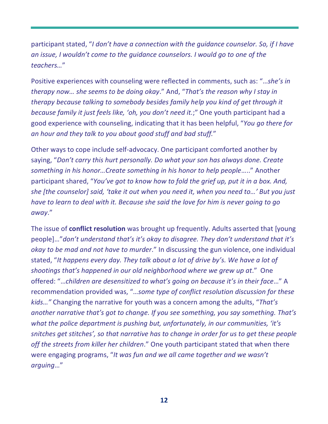participant stated, "*I don't have a connection with the guidance counselor. So, if I have an issue, I wouldn't come to the guidance counselors. I would go to one of the teachers…*"

Positive experiences with counseling were reflected in comments, such as: "…*she's in therapy now… she seems to be doing okay*." And, "*That's the reason why I stay in therapy because talking to somebody besides family help you kind of get through it because family it just feels like, 'oh, you don't need it.*;" One youth participant had a good experience with counseling, indicating that it has been helpful, "*You go there for an hour and they talk to you about good stuff and bad stuff.*"

Other ways to cope include self-advocacy. One participant comforted another by saying, "*Don't carry this hurt personally. Do what your son has always done. Create something in his honor…Create something in his honor to help people*….." Another participant shared, "*You've got to know how to fold the grief up, put it in a box. And, she [the counselor] said, 'take it out when you need it, when you need to…' But you just have to learn to deal with it. Because she said the love for him is never going to go away*."

The issue of **conflict resolution** was brought up frequently. Adults asserted that [young people]…"*don't understand that's it's okay to disagree. They don't understand that it's okay to be mad and not have to murder*." In discussing the gun violence, one individual stated, "*It happens every day. They talk about a lot of drive by's. We have a lot of shootings that's happened in our old neighborhood where we grew up at*." One offered: "…*children are desensitized to what's going on because it's in their face*…" A recommendation provided was, "…*some type of conflict resolution discussion for these kids…"* Changing the narrative for youth was a concern among the adults, "*That's another narrative that's got to change. If you see something, you say something. That's what the police department is pushing but, unfortunately, in our communities, 'it's snitches get stitches', so that narrative has to change in order for us to get these people off the streets from killer her children*." One youth participant stated that when there were engaging programs, "*It was fun and we all came together and we wasn't arguing*…"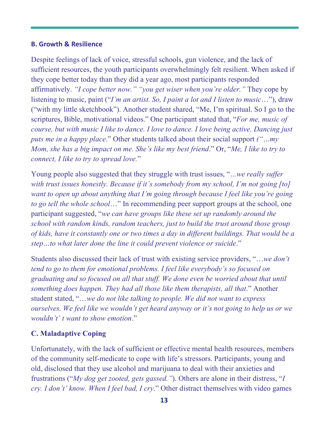#### **B. Growth & Resilience**

Despite feelings of lack of voice, stressful schools, gun violence, and the lack of sufficient resources, the youth participants overwhelmingly felt resilient. When asked if they cope better today than they did a year ago, most participants responded affirmatively. *"I cope better now." "you get wiser when you're older."* They cope by listening to music, paint ("*I'm an artist. So, I paint a lot and I listen to music*…"), draw ("with my little sketchbook"). Another student shared, "Me, I'm spiritual. So I go to the scriptures, Bible, motivational videos." One participant stated that, "*For me, music of course, but with music I like to dance. I love to dance. I love being active. Dancing just puts me in a happy place*." Other students talked about their social support *("…my Mom, she has a big impact on me. She's like my best friend*." Or, "*Me, I like to try to connect, I like to try to spread love.*"

Young people also suggested that they struggle with trust issues, "*…we really suffer with trust issues honestly. Because if it's somebody from my school, I'm not going [to] want to open up about anything that I'm going through because I feel like you're going to go tell the whole school*…" In recommending peer support groups at the school, one participant suggested, "*we can have groups like these set up randomly around the school with random kinds, random teachers, just to build the trust around those group of kids, have it constantly one or two times a day in different buildings. That would be a step…to what later done the line it could prevent violence or suicide*."

Students also discussed their lack of trust with existing service providers, "…*we don't tend to go to them for emotional problems. I feel like everybody's so focused on graduating and so focused on all that stuff. We done even be worried about that until something does happen. They had all those like them therapists, all that*." Another student stated, "…*we do not like talking to people. We did not want to express ourselves. We feel like we wouldn't get heard anyway or it's not going to help us or we wouldn't' t want to show emotion*."

## **C. Maladaptive Coping**

Unfortunately, with the lack of sufficient or effective mental health resources, members of the community self-medicate to cope with life's stressors. Participants, young and old, disclosed that they use alcohol and marijuana to deal with their anxieties and frustrations ("*My dog get zooted, gets gassed."*). Others are alone in their distress, "*I cry. I don't' know. When I feel bad, I cry*." Other distract themselves with video games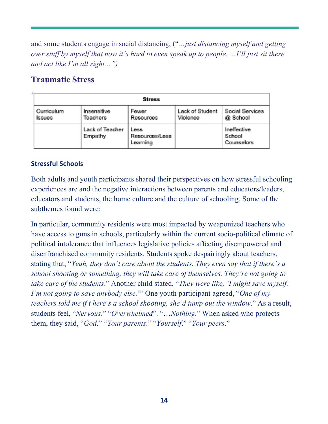and some students engage in social distancing, ("*…just distancing myself and getting over stuff by myself that now it's hard to even speak up to people. …I'll just sit there and act like I'm all right…")*

# **Traumatic Stress**

| <b>Stress</b>        |                            |                                           |                             |                                     |
|----------------------|----------------------------|-------------------------------------------|-----------------------------|-------------------------------------|
| Curriculum<br>Issues | Insensitive<br>Teachers    | Fewer<br>Resources                        | Lack of Student<br>Violence | Social Services<br>@ School         |
|                      | Lack of Teacher<br>Empathy | <b>Less</b><br>Resources/Less<br>Learning |                             | Ineffective<br>School<br>Counselors |

## **Stressful Schools**

Both adults and youth participants shared their perspectives on how stressful schooling experiences are and the negative interactions between parents and educators/leaders, educators and students, the home culture and the culture of schooling. Some of the subthemes found were:

In particular, community residents were most impacted by weaponized teachers who have access to guns in schools, particularly within the current socio-political climate of political intolerance that influences legislative policies affecting disempowered and disenfranchised community residents. Students spoke despairingly about teachers, stating that, "*Yeah, they don't care about the students. They even say that if there's a school shooting or something, they will take care of themselves. They're not going to take care of the students*." Another child stated, "*They were like, 'I might save myself. I'm not going to save anybody else.*'" One youth participant agreed, "*One of my teachers told me if t here's a school shooting, she'd jump out the window*." As a result, students feel, "*Nervous*." "*Overwhelmed*". "…*Nothing*." When asked who protects them, they said, "*God*." "*Your parents*." "*Yourself*." "*Your peers*."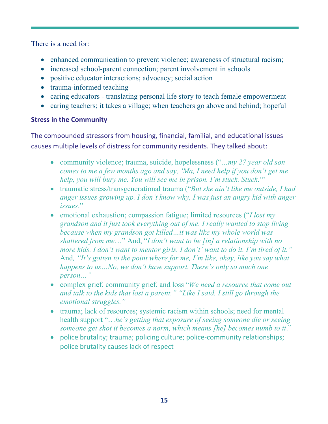There is a need for:

- enhanced communication to prevent violence; awareness of structural racism;
- increased school-parent connection; parent involvement in schools
- positive educator interactions; advocacy; social action
- trauma-informed teaching
- caring educators translating personal life story to teach female empowerment
- caring teachers; it takes a village; when teachers go above and behind; hopeful

### **Stress in the Community**

The compounded stressors from housing, financial, familial, and educational issues causes multiple levels of distress for community residents. They talked about:

- community violence; trauma, suicide, hopelessness ("*…my 27 year old son comes to me a few months ago and say, 'Ma, I need help if you don't get me help, you will bury me. You will see me in prison. I'm stuck. Stuck*.'"
- traumatic stress/transgenerational trauma ("*But she ain't like me outside, I had anger issues growing up. I don't know why, I was just an angry kid with anger issues*."
- emotional exhaustion; compassion fatigue; limited resources ("*I lost my grandson and it just took everything out of me. I really wanted to stop living because when my grandson got killed…it was like my whole world was shattered from me*…" And, "*I don't want to be [in] a relationship with no more kids. I don't want to mentor girls. I don't' want to do it. I'm tired of it."* And*, "It's gotten to the point where for me, I'm like, okay, like you say what happens to us…No, we don't have support. There's only so much one person…"*
- complex grief, community grief, and loss "*We need a resource that come out and talk to the kids that lost a parent." "Like I said, I still go through the emotional struggles."*
- trauma; lack of resources; systemic racism within schools; need for mental health support "…*he's getting that exposure of seeing someone die or seeing someone get shot it becomes a norm, which means [he] becomes numb to it*."
- police brutality; trauma; policing culture; police-community relationships; police brutality causes lack of respect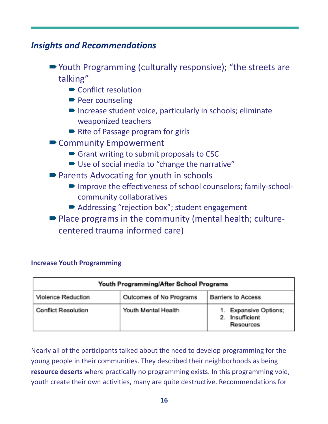# *Insights and Recommendations*

- Youth Programming (culturally responsive); "the streets are talking"
	- $\blacksquare$  Conflict resolution
	- $\blacktriangleright$  Peer counseling
	- $\blacksquare$  Increase student voice, particularly in schools; eliminate weaponized teachers
	- $\blacktriangleright$  Rite of Passage program for girls
- Community Empowerment
	- $\blacksquare$  Grant writing to submit proposals to CSC
	- Use of social media to "change the narrative"
- Parents Advocating for youth in schools
	- Improve the effectiveness of school counselors; family-schoolcommunity collaboratives
	- Addressing "rejection box"; student engagement
- Place programs in the community (mental health; culturecentered trauma informed care)

| Youth Programming/After School Programs |                         |                                                                       |  |
|-----------------------------------------|-------------------------|-----------------------------------------------------------------------|--|
| Violence Reduction                      | Outcomes of No Programs | Barriers to Access                                                    |  |
| Conflict Resolution                     | Youth Mental Health     | <b>Expansive Options:</b><br>Insufficient<br>$2^{\circ}$<br>Resources |  |

## **Increase Youth Programming**

Nearly all of the participants talked about the need to develop programming for the young people in their communities. They described their neighborhoods as being **resource deserts** where practically no programming exists. In this programming void, youth create their own activities, many are quite destructive. Recommendations for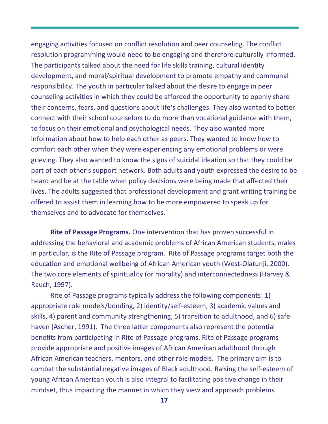engaging activities focused on conflict resolution and peer counseling. The conflict resolution programming would need to be engaging and therefore culturally informed. The participants talked about the need for life skills training, cultural identity development, and moral/spiritual development to promote empathy and communal responsibility. The youth in particular talked about the desire to engage in peer counseling activities in which they could be afforded the opportunity to openly share their concerns, fears, and questions about life's challenges. They also wanted to better connect with their school counselors to do more than vocational guidance with them, to focus on their emotional and psychological needs. They also wanted more information about how to help each other as peers. They wanted to know how to comfort each other when they were experiencing any emotional problems or were grieving. They also wanted to know the signs of suicidal ideation so that they could be part of each other's support network. Both adults and youth expressed the desire to be heard and be at the table when policy decisions were being made that affected their lives. The adults suggested that professional development and grant writing training be offered to assist them in learning how to be more empowered to speak up for themselves and to advocate for themselves.

**Rite of Passage Programs.** One intervention that has proven successful in addressing the behavioral and academic problems of African American students, males in particular, is the Rite of Passage program. Rite of Passage programs target both the education and emotional wellbeing of African American youth (West-Olatunji, 2000). The two core elements of spirituality (or morality) and interconnectedness (Harvey & Rauch, 1997).

Rite of Passage programs typically address the following components: 1) appropriate role models/bonding, 2) identity/self-esteem, 3) academic values and skills, 4) parent and community strengthening, 5) transition to adulthood, and 6) safe haven (Ascher, 1991). The three latter components also represent the potential benefits from participating in Rite of Passage programs. Rite of Passage programs provide appropriate and positive images of African American adulthood through African American teachers, mentors, and other role models. The primary aim is to combat the substantial negative images of Black adulthood. Raising the self-esteem of young African American youth is also integral to facilitating positive change in their mindset, thus impacting the manner in which they view and approach problems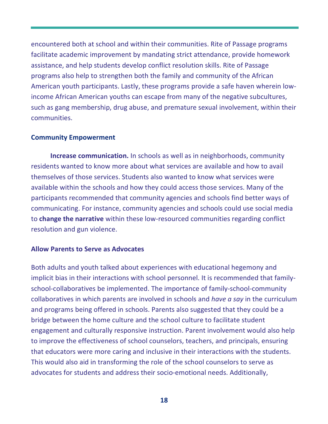encountered both at school and within their communities. Rite of Passage programs facilitate academic improvement by mandating strict attendance, provide homework assistance, and help students develop conflict resolution skills. Rite of Passage programs also help to strengthen both the family and community of the African American youth participants. Lastly, these programs provide a safe haven wherein lowincome African American youths can escape from many of the negative subcultures, such as gang membership, drug abuse, and premature sexual involvement, within their communities.

#### **Community Empowerment**

**Increase communication.** In schools as well as in neighborhoods, community residents wanted to know more about what services are available and how to avail themselves of those services. Students also wanted to know what services were available within the schools and how they could access those services. Many of the participants recommended that community agencies and schools find better ways of communicating. For instance, community agencies and schools could use social media to **change the narrative** within these low-resourced communities regarding conflict resolution and gun violence.

#### **Allow Parents to Serve as Advocates**

Both adults and youth talked about experiences with educational hegemony and implicit bias in their interactions with school personnel. It is recommended that familyschool-collaboratives be implemented. The importance of family-school-community collaboratives in which parents are involved in schools and *have a say* in the curriculum and programs being offered in schools. Parents also suggested that they could be a bridge between the home culture and the school culture to facilitate student engagement and culturally responsive instruction. Parent involvement would also help to improve the effectiveness of school counselors, teachers, and principals, ensuring that educators were more caring and inclusive in their interactions with the students. This would also aid in transforming the role of the school counselors to serve as advocates for students and address their socio-emotional needs. Additionally,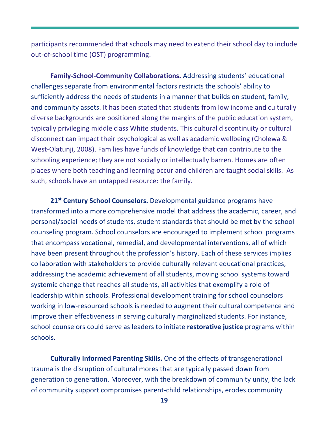participants recommended that schools may need to extend their school day to include out-of-school time (OST) programming.

**Family-School-Community Collaborations.** Addressing students' educational challenges separate from environmental factors restricts the schools' ability to sufficiently address the needs of students in a manner that builds on student, family, and community assets. It has been stated that students from low income and culturally diverse backgrounds are positioned along the margins of the public education system, typically privileging middle class White students. This cultural discontinuity or cultural disconnect can impact their psychological as well as academic wellbeing (Cholewa & West-Olatunji, 2008). Families have funds of knowledge that can contribute to the schooling experience; they are not socially or intellectually barren. Homes are often places where both teaching and learning occur and children are taught social skills. As such, schools have an untapped resource: the family.

**21st Century School Counselors.** Developmental guidance programs have transformed into a more comprehensive model that address the academic, career, and personal/social needs of students, student standards that should be met by the school counseling program. School counselors are encouraged to implement school programs that encompass vocational, remedial, and developmental interventions, all of which have been present throughout the profession's history. Each of these services implies collaboration with stakeholders to provide culturally relevant educational practices, addressing the academic achievement of all students, moving school systems toward systemic change that reaches all students, all activities that exemplify a role of leadership within schools. Professional development training for school counselors working in low-resourced schools is needed to augment their cultural competence and improve their effectiveness in serving culturally marginalized students. For instance, school counselors could serve as leaders to initiate **restorative justice** programs within schools.

**Culturally Informed Parenting Skills.** One of the effects of transgenerational trauma is the disruption of cultural mores that are typically passed down from generation to generation. Moreover, with the breakdown of community unity, the lack of community support compromises parent-child relationships, erodes community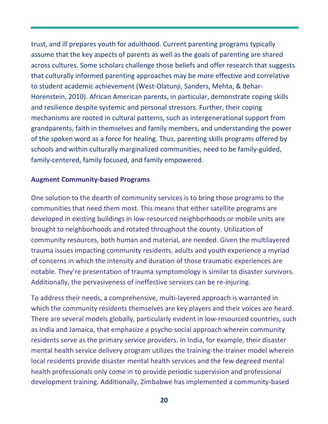trust, and ill prepares youth for adulthood. Current parenting programs typically assume that the key aspects of parents as well as the goals of parenting are shared across cultures. Some scholars challenge those beliefs and offer research that suggests that culturally informed parenting approaches may be more effective and correlative to student academic achievement (West-Olatunji, Sanders, Mehta, & Behar-Horenstein, 2010). African American parents, in particular, demonstrate coping skills and resilience despite systemic and personal stressors. Further, their coping mechanisms are rooted in cultural patterns, such as intergenerational support from grandparents, faith in themselves and family members, and understanding the power of the spoken word as a force for healing. Thus, parenting skills programs offered by schools and within culturally marginalized communities, need to be family-guided, family-centered, family focused, and family empowered.

#### **Augment Community-based Programs**

One solution to the dearth of community services is to bring those programs to the communities that need them most. This means that either satellite programs are developed in existing buildings in low-resourced neighborhoods or mobile units are brought to neighborhoods and rotated throughout the county. Utilization of community resources, both human and material, are needed. Given the multilayered trauma issues impacting community residents, adults and youth experience a myriad of concerns in which the intensity and duration of those traumatic experiences are notable. They're presentation of trauma symptomology is similar to disaster survivors. Additionally, the pervasiveness of ineffective services can be re-injuring.

To address their needs, a comprehensive, multi-layered approach is warranted in which the community residents themselves are key players and their voices are heard. There are several models globally, particularly evident in low-resourced countries, such as India and Jamaica, that emphasize a psycho-social approach wherein community residents serve as the primary service providers. In India, for example, their disaster mental health service delivery program utilizes the training-the-trainer model wherein local residents provide disaster mental health services and the few degreed mental health professionals only come in to provide periodic supervision and professional development training. Additionally, Zimbabwe has implemented a community-based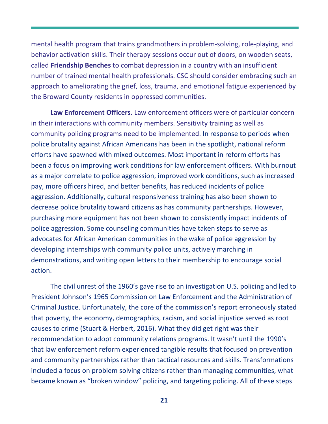mental health program that trains grandmothers in problem-solving, role-playing, and behavior activation skills. Their therapy sessions occur out of doors, on wooden seats, called **Friendship Benches** to combat depression in a country with an insufficient number of trained mental health professionals. CSC should consider embracing such an approach to ameliorating the grief, loss, trauma, and emotional fatigue experienced by the Broward County residents in oppressed communities.

**Law Enforcement Officers.** Law enforcement officers were of particular concern in their interactions with community members. Sensitivity training as well as community policing programs need to be implemented. In response to periods when police brutality against African Americans has been in the spotlight, national reform efforts have spawned with mixed outcomes. Most important in reform efforts has been a focus on improving work conditions for law enforcement officers. With burnout as a major correlate to police aggression, improved work conditions, such as increased pay, more officers hired, and better benefits, has reduced incidents of police aggression. Additionally, cultural responsiveness training has also been shown to decrease police brutality toward citizens as has community partnerships. However, purchasing more equipment has not been shown to consistently impact incidents of police aggression. Some counseling communities have taken steps to serve as advocates for African American communities in the wake of police aggression by developing internships with community police units, actively marching in demonstrations, and writing open letters to their membership to encourage social action.

The civil unrest of the 1960's gave rise to an investigation U.S. policing and led to President Johnson's 1965 Commission on Law Enforcement and the Administration of Criminal Justice. Unfortunately, the core of the commission's report erroneously stated that poverty, the economy, demographics, racism, and social injustice served as root causes to crime (Stuart & Herbert, 2016). What they did get right was their recommendation to adopt community relations programs. It wasn't until the 1990's that law enforcement reform experienced tangible results that focused on prevention and community partnerships rather than tactical resources and skills. Transformations included a focus on problem solving citizens rather than managing communities, what became known as "broken window" policing, and targeting policing. All of these steps

**21**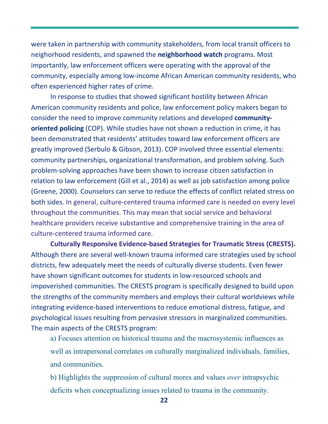were taken in partnership with community stakeholders, from local transit officers to neighorhood residents, and spawned the **neighborhood watch** programs. Most importantly, law enforcement officers were operating with the approval of the community, especially among low-income African American community residents, who often experienced higher rates of crime.

In response to studies that showed significant hostility between African American community residents and police, law enforcement policy makers began to consider the need to improve community relations and developed **communityoriented policing** (COP). While studies have not shown a reduction in crime, it has been demonstrated that residents' attitudes toward law enforcement officers are greatly improved (Serbulo & Gibson, 2013). COP involved three essential elements: community partnerships, organizational transformation, and problem solving. Such problem-solving approaches have been shown to increase citizen satisfaction in relation to law enforcement (Gill et al., 2014) as well as job satisfaction among police (Greene, 2000). Counselors can serve to reduce the effects of conflict related stress on both sides. In general, culture-centered trauma informed care is needed on every level throughout the communities. This may mean that social service and behavioral healthcare providers receive substantive and comprehensive training in the area of culture-centered trauma informed care.

**Culturally Responsive Evidence-based Strategies for Traumatic Stress (CRESTS).** Although there are several well-known trauma informed care strategies used by school districts, few adequately meet the needs of culturally diverse students. Even fewer have shown significant outcomes for students in low-resourced schools and impoverished communities. The CRESTS program is specifically designed to build upon the strengths of the community members and employs their cultural worldviews while integrating evidence-based interventions to reduce emotional distress, fatigue, and psychological issues resulting from pervasive stressors in marginalized communities. The main aspects of the CRESTS program:

a) Focuses attention on historical trauma and the macrosystemic influences as well as intrapersonal correlates on culturally marginalized individuals, families, and communities.

b) Highlights the suppression of cultural mores and values *over* intrapsychic deficits when conceptualizing issues related to trauma in the community.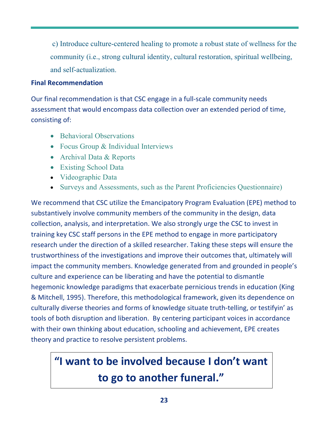c) Introduce culture-centered healing to promote a robust state of wellness for the community (i.e., strong cultural identity, cultural restoration, spiritual wellbeing, and self-actualization.

#### **Final Recommendation**

Our final recommendation is that CSC engage in a full-scale community needs assessment that would encompass data collection over an extended period of time, consisting of:

- Behavioral Observations
- Focus Group & Individual Interviews
- Archival Data & Reports
- Existing School Data
- Videographic Data
- Surveys and Assessments, such as the Parent Proficiencies Questionnaire)

We recommend that CSC utilize the Emancipatory Program Evaluation (EPE) method to substantively involve community members of the community in the design, data collection, analysis, and interpretation. We also strongly urge the CSC to invest in training key CSC staff persons in the EPE method to engage in more participatory research under the direction of a skilled researcher. Taking these steps will ensure the trustworthiness of the investigations and improve their outcomes that, ultimately will impact the community members. Knowledge generated from and grounded in people's culture and experience can be liberating and have the potential to dismantle hegemonic knowledge paradigms that exacerbate pernicious trends in education (King & Mitchell, 1995). Therefore, this methodological framework, given its dependence on culturally diverse theories and forms of knowledge situate truth-telling, or testifyin' as tools of both disruption and liberation. By centering participant voices in accordance with their own thinking about education, schooling and achievement, EPE creates theory and practice to resolve persistent problems.

# **"I want to be involved because I don't want to go to another funeral."**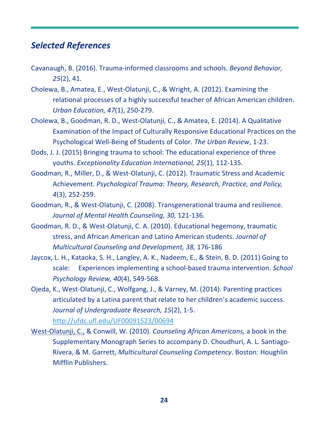# *Selected References*

- Cavanaugh, B. (2016). Trauma-informed classrooms and schools. *Beyond Behavior, 25*(2), 41.
- Cholewa, B., Amatea, E., West-Olatunji, C., & Wright, A. (2012). Examining the relational processes of a highly successful teacher of African American children. *Urban Education, 47*(1), 250-279.
- Cholewa, B., Goodman, R. D., West-Olatunji, C., & Amatea, E. (2014). A Qualitative Examination of the Impact of Culturally Responsive Educational Practices on the Psychological Well-Being of Students of Color. *The Urban Review*, 1-23.
- Dods, J. J. (2015) Bringing trauma to school: The educational experience of three youths. *Exceptionality Education International, 25*(1), 112-135.
- Goodman, R., Miller, D., & West-Olatunji, C. (2012). Traumatic Stress and Academic Achievement. *Psychological Trauma: Theory, Research, Practice, and Policy, 4*(3), 252-259.
- Goodman, R., & West-Olatunji, C. (2008). Transgenerational trauma and resilience. *Journal of Mental Health Counseling, 30,* 121-136.
- Goodman, R. D., & West-Olatunji, C. A. (2010). Educational hegemony, traumatic stress, and African American and Latino American students. *Journal of Multicultural Counseling and Development, 38,* 176-186
- Jaycox, L. H., Kataoka, S. H., Langley, A. K., Nadeem, E., & Stein, B. D. (2011) Going to scale: Experiences implementing a school-based trauma intervention. *School Psychology Review, 40*(4), 549-568.
- Ojeda, K., West-Olatunji, C., Wolfgang, J., & Varney, M. (2014). Parenting practices articulated by a Latina parent that relate to her children's academic success. *Journal of Undergraduate Research, 15*(2), 1-5. http://ufdc.ufl.edu/UF00091523/00694
- West-Olatunji, C., & Conwill, W. (2010). *Counseling African Americans,* a book in the Supplementary Monograph Series to accompany D. Choudhuri, A. L. Santiago-Rivera, & M. Garrett, *Multicultural Counseling Competency*. Boston: Houghlin Mifflin Publishers.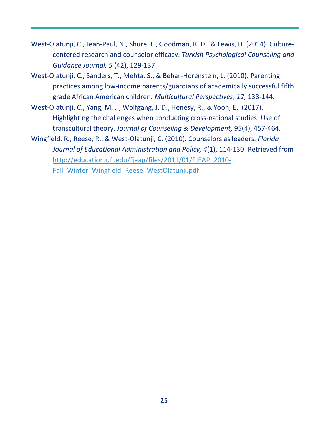- West-Olatunji, C., Jean-Paul, N., Shure, L., Goodman, R. D., & Lewis, D. (2014). Culturecentered research and counselor efficacy. *Turkish Psychological Counseling and Guidance Journal, 5* (42), 129-137.
- West-Olatunji, C., Sanders, T., Mehta, S., & Behar-Horenstein, L. (2010). Parenting practices among low-income parents/guardians of academically successful fifth grade African American children*. Multicultural Perspectives, 12,* 138-144.
- West-Olatunji, C., Yang, M. J., Wolfgang, J. D., Henesy, R., & Yoon, E. (2017). Highlighting the challenges when conducting cross-national studies: Use of transcultural theory. *Journal of Counseling & Development,* 95(4), 457-464.
- Wingfield, R., Reese, R., & West-Olatunji, C. (2010). Counselors as leaders. *Florida Journal of Educational Administration and Policy, 4*(1), 114-130. Retrieved from http://education.ufl.edu/fjeap/files/2011/01/FJEAP\_2010- Fall Winter Wingfield Reese WestOlatunji.pdf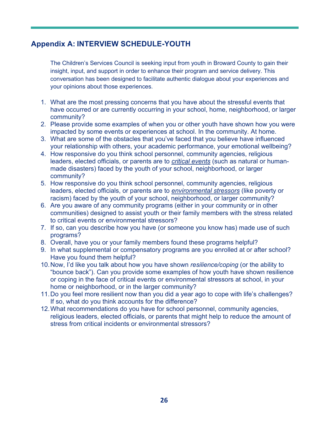## **Appendix A: INTERVIEW SCHEDULE-YOUTH**

The Children's Services Council is seeking input from youth in Broward County to gain their insight, input, and support in order to enhance their program and service delivery. This conversation has been designed to facilitate authentic dialogue about your experiences and your opinions about those experiences.

- 1. What are the most pressing concerns that you have about the stressful events that have occurred or are currently occurring in your school, home, neighborhood, or larger community?
- 2. Please provide some examples of when you or other youth have shown how you were impacted by some events or experiences at school. In the community. At home.
- 3. What are some of the obstacles that you've faced that you believe have influenced your relationship with others, your academic performance, your emotional wellbeing?
- 4. How responsive do you think school personnel, community agencies, religious leaders, elected officials, or parents are to *critical events* (such as natural or humanmade disasters) faced by the youth of your school, neighborhood, or larger community?
- 5. How responsive do you think school personnel, community agencies, religious leaders, elected officials, or parents are to *environmental stressors* (like poverty or racism) faced by the youth of your school, neighborhood, or larger community?
- 6. Are you aware of any community programs (either in your community or in other communities) designed to assist youth or their family members with the stress related to critical events or environmental stressors?
- 7. If so, can you describe how you have (or someone you know has) made use of such programs?
- 8. Overall, have you or your family members found these programs helpful?
- 9. In what supplemental or compensatory programs are you enrolled at or after school? Have you found them helpful?
- 10.Now, I'd like you talk about how you have shown *resilience/coping* (or the ability to "bounce back"). Can you provide some examples of how youth have shown resilience or coping in the face of critical events or environmental stressors at school, in your home or neighborhood, or in the larger community?
- 11.Do you feel more resilient now than you did a year ago to cope with life's challenges? If so, what do you think accounts for the difference?
- 12.What recommendations do you have for school personnel, community agencies, religious leaders, elected officials, or parents that might help to reduce the amount of stress from critical incidents or environmental stressors?